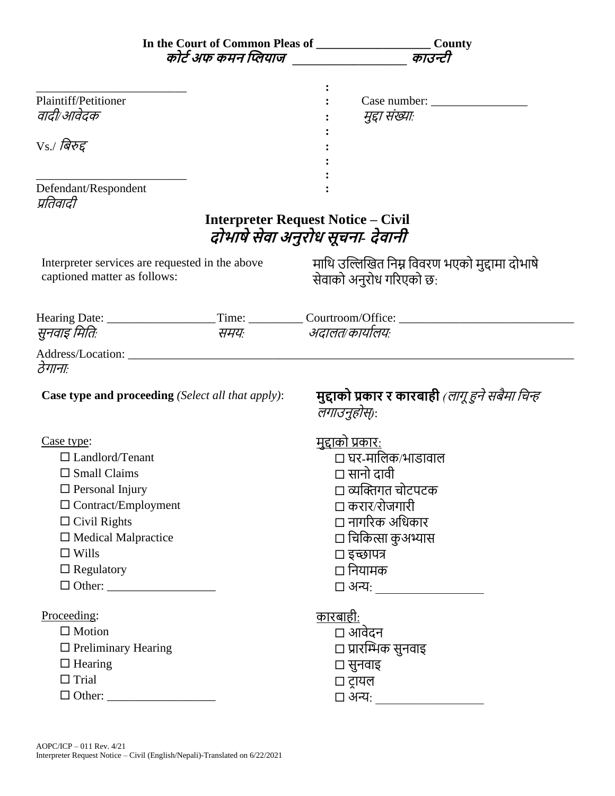|                                                 |                                                          | In the Court of Common Pleas of ___________________________County                                    |
|-------------------------------------------------|----------------------------------------------------------|------------------------------------------------------------------------------------------------------|
|                                                 |                                                          | कोर्ट अफ कमन प्लियाज खाउन्टी काउन्टी                                                                 |
|                                                 |                                                          |                                                                                                      |
|                                                 |                                                          |                                                                                                      |
| Plaintiff/Petitioner<br>वादी/आवेदक              |                                                          |                                                                                                      |
|                                                 |                                                          | मुद्दा संख्याः                                                                                       |
| Vs./ बिरुद्द                                    |                                                          |                                                                                                      |
|                                                 |                                                          |                                                                                                      |
|                                                 |                                                          |                                                                                                      |
| Defendant/Respondent                            |                                                          |                                                                                                      |
| प्रतिवादी                                       |                                                          |                                                                                                      |
|                                                 |                                                          | <b>Interpreter Request Notice – Civil</b>                                                            |
|                                                 |                                                          | दोभाषे सेवा अनुरोध सूचना- देवानी                                                                     |
|                                                 |                                                          |                                                                                                      |
| Interpreter services are requested in the above |                                                          | माथि उल्लिखित निम्न विवरण भएको मुद्दामा दोभाषे                                                       |
| captioned matter as follows:                    |                                                          | सेवाको अनुरोध गरिएको छ:                                                                              |
|                                                 |                                                          |                                                                                                      |
|                                                 |                                                          | Hearing Date: ________________________Time: ____________Courtroom/Office: __________________________ |
| सुनवाइ मितिः                                    | समयः                                                     | अदालत/कार्यालयः                                                                                      |
|                                                 |                                                          |                                                                                                      |
| ठेगानाः                                         |                                                          |                                                                                                      |
|                                                 |                                                          |                                                                                                      |
|                                                 | <b>Case type and proceeding</b> (Select all that apply): | मुद्दाको प्रकार र कारबाही <i>(लागू हुने सबैमा चिन्ह</i>                                              |
|                                                 |                                                          | लगाउनुहोस्):                                                                                         |
|                                                 |                                                          |                                                                                                      |
| Case type:                                      |                                                          | <u>मुद्दाको प्रकार:</u>                                                                              |
| $\Box$ Landlord/Tenant                          |                                                          | □ घर-मालिक∕भाडावाल                                                                                   |
| $\square$ Small Claims                          |                                                          | □ सानो दावी                                                                                          |
| $\Box$ Personal Injury                          |                                                          | □ व्यक्तिगत चोटपटक                                                                                   |
| $\Box$ Contract/Employment                      |                                                          | □ करार⁄रोजगारी                                                                                       |
| $\Box$ Civil Rights                             |                                                          | □ नागरिक अधिकार                                                                                      |
| $\Box$ Medical Malpractice                      |                                                          | □ चिकित्सा कुअभ्यास                                                                                  |
| $\Box$ Wills                                    |                                                          | □ इच्छापत्र                                                                                          |
| $\Box$ Regulatory                               |                                                          | □ नियामक                                                                                             |
|                                                 |                                                          |                                                                                                      |
|                                                 |                                                          |                                                                                                      |
| Proceeding:                                     |                                                          | <u>कारबाही:</u>                                                                                      |
| $\Box$ Motion                                   |                                                          | □ आवेदन                                                                                              |
| $\Box$ Preliminary Hearing                      |                                                          | □ प्रारम्भिक सुनवाइ                                                                                  |
| $\Box$ Hearing                                  |                                                          | □ सुनवाइ                                                                                             |
| $\Box$ Trial                                    |                                                          | □ ट्रायल                                                                                             |
|                                                 |                                                          | □ अन्यः ________________                                                                             |